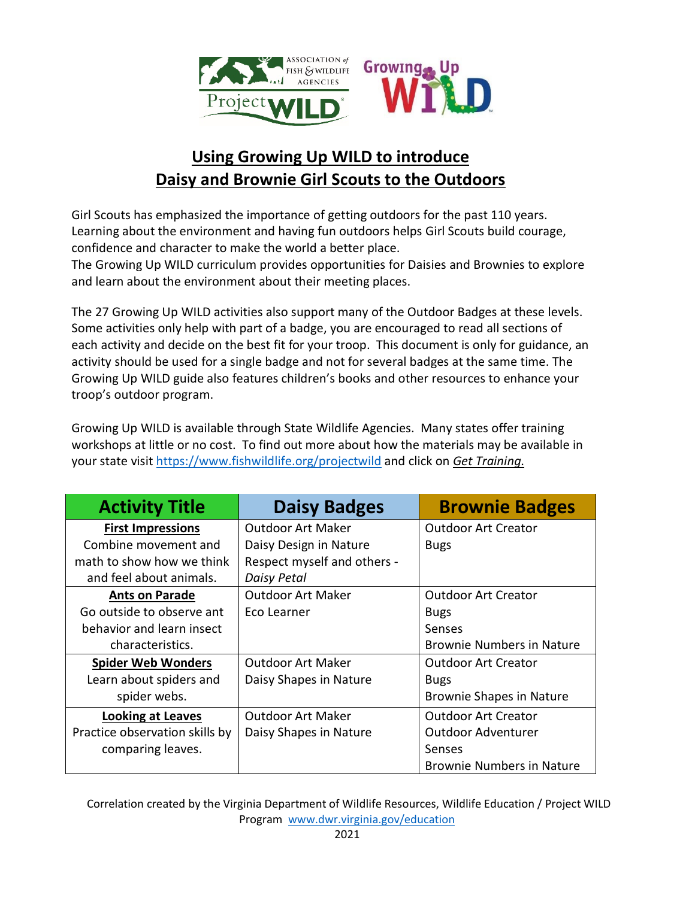

## **Using Growing Up WILD to introduce Daisy and Brownie Girl Scouts to the Outdoors**

Girl Scouts has emphasized the importance of getting outdoors for the past 110 years. Learning about the environment and having fun outdoors helps Girl Scouts build courage, confidence and character to make the world a better place.

The Growing Up WILD curriculum provides opportunities for Daisies and Brownies to explore and learn about the environment about their meeting places.

The 27 Growing Up WILD activities also support many of the Outdoor Badges at these levels. Some activities only help with part of a badge, you are encouraged to read all sections of each activity and decide on the best fit for your troop. This document is only for guidance, an activity should be used for a single badge and not for several badges at the same time. The Growing Up WILD guide also features children's books and other resources to enhance your troop's outdoor program.

Growing Up WILD is available through State Wildlife Agencies. Many states offer training workshops at little or no cost. To find out more about how the materials may be available in your state visi[t https://www.fishwildlife.org/projectwild](https://www.fishwildlife.org/projectwild) and click on *Get Training.*

| <b>Activity Title</b>          | <b>Daisy Badges</b>         | <b>Brownie Badges</b>            |
|--------------------------------|-----------------------------|----------------------------------|
| <b>First Impressions</b>       | <b>Outdoor Art Maker</b>    | <b>Outdoor Art Creator</b>       |
| Combine movement and           | Daisy Design in Nature      | <b>Bugs</b>                      |
| math to show how we think      | Respect myself and others - |                                  |
| and feel about animals.        | Daisy Petal                 |                                  |
| <b>Ants on Parade</b>          | <b>Outdoor Art Maker</b>    | <b>Outdoor Art Creator</b>       |
| Go outside to observe ant      | Eco Learner                 | <b>Bugs</b>                      |
| behavior and learn insect      |                             | Senses                           |
| characteristics.               |                             | <b>Brownie Numbers in Nature</b> |
| <b>Spider Web Wonders</b>      | <b>Outdoor Art Maker</b>    | <b>Outdoor Art Creator</b>       |
| Learn about spiders and        | Daisy Shapes in Nature      | <b>Bugs</b>                      |
| spider webs.                   |                             | <b>Brownie Shapes in Nature</b>  |
| <b>Looking at Leaves</b>       | <b>Outdoor Art Maker</b>    | <b>Outdoor Art Creator</b>       |
| Practice observation skills by | Daisy Shapes in Nature      | Outdoor Adventurer               |
| comparing leaves.              |                             | Senses                           |
|                                |                             | <b>Brownie Numbers in Nature</b> |

Correlation created by the Virginia Department of Wildlife Resources, Wildlife Education / Project WILD Program [www.dwr.virginia.gov/education](http://www.dwr.virginia.gov/education)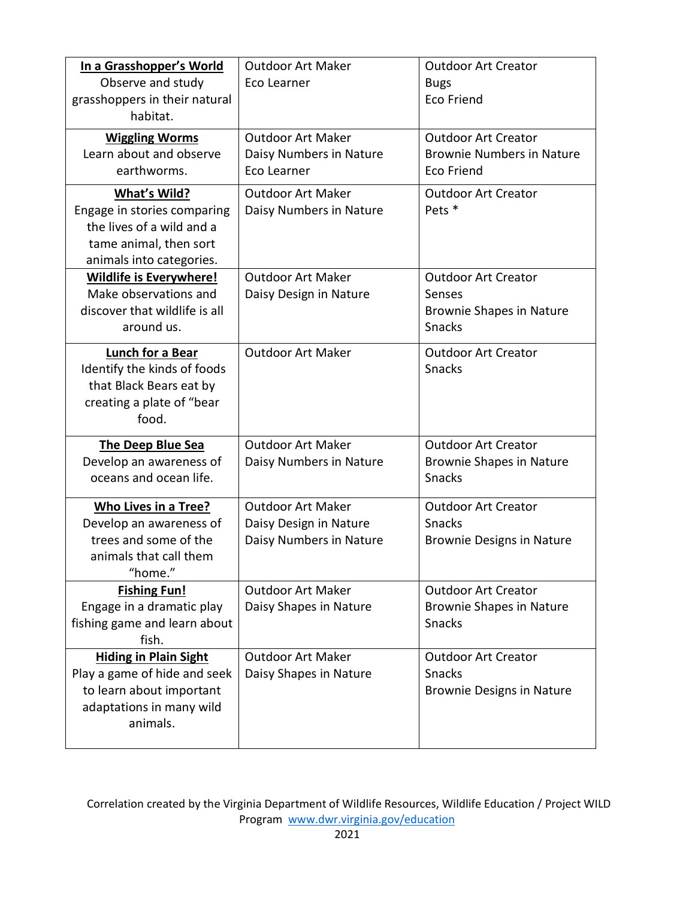| In a Grasshopper's World      | <b>Outdoor Art Maker</b> | <b>Outdoor Art Creator</b>       |
|-------------------------------|--------------------------|----------------------------------|
| Observe and study             | Eco Learner              | <b>Bugs</b>                      |
| grasshoppers in their natural |                          | <b>Eco Friend</b>                |
| habitat.                      |                          |                                  |
| <b>Wiggling Worms</b>         | <b>Outdoor Art Maker</b> | <b>Outdoor Art Creator</b>       |
| Learn about and observe       | Daisy Numbers in Nature  | <b>Brownie Numbers in Nature</b> |
| earthworms.                   | Eco Learner              | <b>Eco Friend</b>                |
| What's Wild?                  | <b>Outdoor Art Maker</b> | <b>Outdoor Art Creator</b>       |
| Engage in stories comparing   | Daisy Numbers in Nature  | Pets <sup>*</sup>                |
| the lives of a wild and a     |                          |                                  |
| tame animal, then sort        |                          |                                  |
| animals into categories.      |                          |                                  |
| Wildlife is Everywhere!       | <b>Outdoor Art Maker</b> | <b>Outdoor Art Creator</b>       |
| Make observations and         | Daisy Design in Nature   | Senses                           |
| discover that wildlife is all |                          | <b>Brownie Shapes in Nature</b>  |
| around us.                    |                          | <b>Snacks</b>                    |
| Lunch for a Bear              | <b>Outdoor Art Maker</b> | <b>Outdoor Art Creator</b>       |
| Identify the kinds of foods   |                          | Snacks                           |
| that Black Bears eat by       |                          |                                  |
| creating a plate of "bear     |                          |                                  |
| food.                         |                          |                                  |
|                               |                          |                                  |
| <b>The Deep Blue Sea</b>      | <b>Outdoor Art Maker</b> | <b>Outdoor Art Creator</b>       |
| Develop an awareness of       | Daisy Numbers in Nature  | <b>Brownie Shapes in Nature</b>  |
| oceans and ocean life.        |                          | Snacks                           |
| Who Lives in a Tree?          | <b>Outdoor Art Maker</b> | <b>Outdoor Art Creator</b>       |
| Develop an awareness of       | Daisy Design in Nature   | Snacks                           |
| trees and some of the         | Daisy Numbers in Nature  | <b>Brownie Designs in Nature</b> |
| animals that call them        |                          |                                  |
| "home."                       |                          |                                  |
| <b>Fishing Fun!</b>           | Outdoor Art Maker        | <b>Outdoor Art Creator</b>       |
| Engage in a dramatic play     | Daisy Shapes in Nature   | <b>Brownie Shapes in Nature</b>  |
| fishing game and learn about  |                          | Snacks                           |
| fish.                         |                          |                                  |
| <b>Hiding in Plain Sight</b>  | <b>Outdoor Art Maker</b> | <b>Outdoor Art Creator</b>       |
| Play a game of hide and seek  | Daisy Shapes in Nature   | Snacks                           |
| to learn about important      |                          | <b>Brownie Designs in Nature</b> |
| adaptations in many wild      |                          |                                  |
| animals.                      |                          |                                  |
|                               |                          |                                  |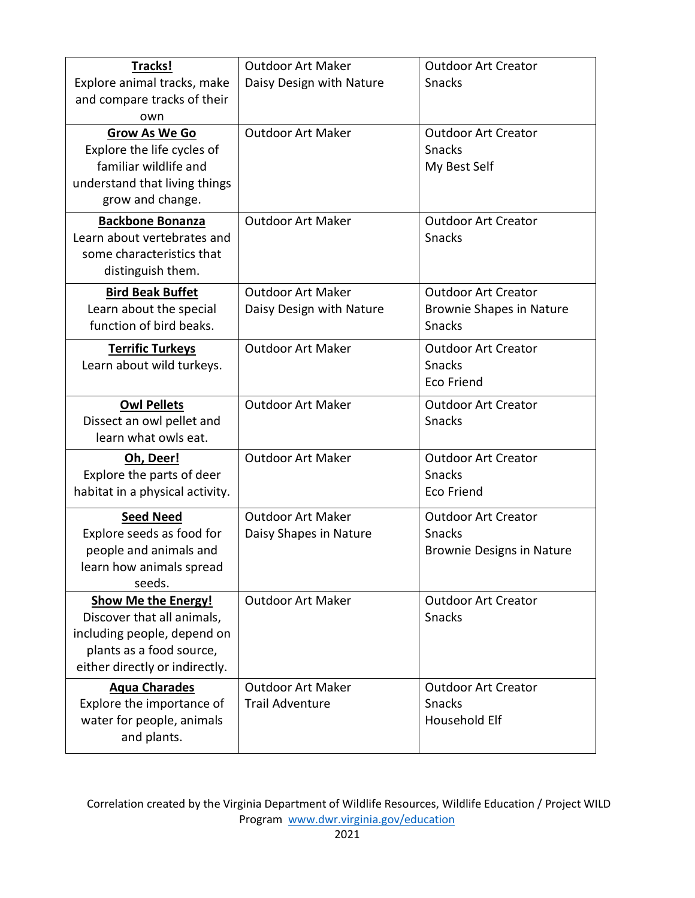| Tracks!<br>Explore animal tracks, make<br>and compare tracks of their<br>own                                                                          | <b>Outdoor Art Maker</b><br>Daisy Design with Nature | <b>Outdoor Art Creator</b><br>Snacks                                     |
|-------------------------------------------------------------------------------------------------------------------------------------------------------|------------------------------------------------------|--------------------------------------------------------------------------|
| <b>Grow As We Go</b><br>Explore the life cycles of<br>familiar wildlife and<br>understand that living things<br>grow and change.                      | <b>Outdoor Art Maker</b>                             | <b>Outdoor Art Creator</b><br><b>Snacks</b><br>My Best Self              |
| <b>Backbone Bonanza</b><br>Learn about vertebrates and<br>some characteristics that<br>distinguish them.                                              | <b>Outdoor Art Maker</b>                             | <b>Outdoor Art Creator</b><br><b>Snacks</b>                              |
| <b>Bird Beak Buffet</b><br>Learn about the special<br>function of bird beaks.                                                                         | <b>Outdoor Art Maker</b><br>Daisy Design with Nature | <b>Outdoor Art Creator</b><br><b>Brownie Shapes in Nature</b><br>Snacks  |
| <b>Terrific Turkeys</b><br>Learn about wild turkeys.                                                                                                  | <b>Outdoor Art Maker</b>                             | <b>Outdoor Art Creator</b><br>Snacks<br><b>Eco Friend</b>                |
| <b>Owl Pellets</b><br>Dissect an owl pellet and<br>learn what owls eat.                                                                               | <b>Outdoor Art Maker</b>                             | <b>Outdoor Art Creator</b><br>Snacks                                     |
| Oh, Deer!<br>Explore the parts of deer<br>habitat in a physical activity.                                                                             | <b>Outdoor Art Maker</b>                             | <b>Outdoor Art Creator</b><br>Snacks<br><b>Eco Friend</b>                |
| <b>Seed Need</b><br>Explore seeds as food for<br>people and animals and<br>learn how animals spread<br>seeds.                                         | <b>Outdoor Art Maker</b><br>Daisy Shapes in Nature   | <b>Outdoor Art Creator</b><br>Snacks<br><b>Brownie Designs in Nature</b> |
| <b>Show Me the Energy!</b><br>Discover that all animals,<br>including people, depend on<br>plants as a food source,<br>either directly or indirectly. | <b>Outdoor Art Maker</b>                             | <b>Outdoor Art Creator</b><br><b>Snacks</b>                              |
| <b>Aqua Charades</b><br>Explore the importance of<br>water for people, animals<br>and plants.                                                         | <b>Outdoor Art Maker</b><br><b>Trail Adventure</b>   | <b>Outdoor Art Creator</b><br><b>Snacks</b><br>Household Elf             |

Correlation created by the Virginia Department of Wildlife Resources, Wildlife Education / Project WILD Program [www.dwr.virginia.gov/education](http://www.dwr.virginia.gov/education)